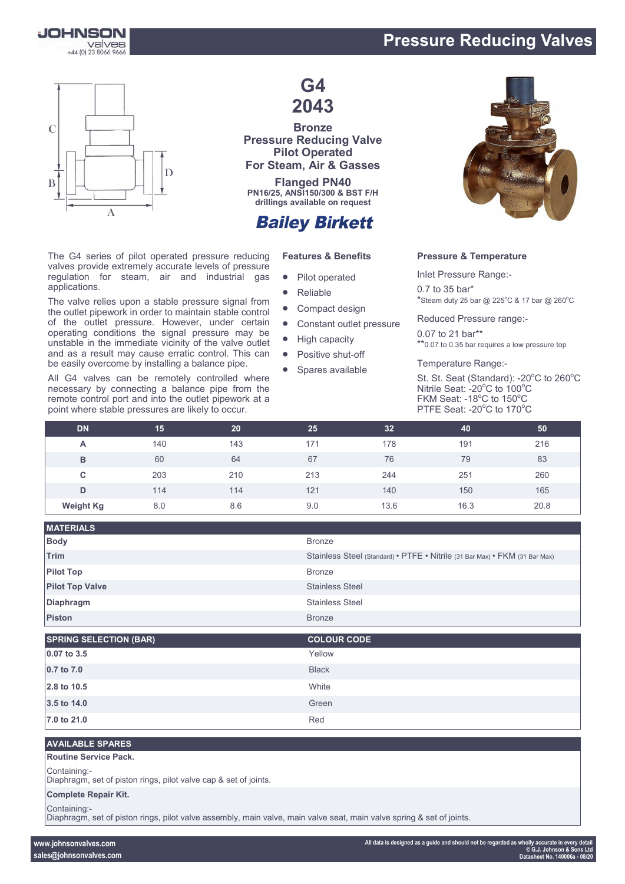

## **Pressure Reducing Valves**



The G4 series of pilot operated pressure reducing valves provide extremely accurate levels of pressure regulation for steam, air and industrial gas applications.

The valve relies upon a stable pressure signal from the outlet pipework in order to maintain stable control of the outlet pressure. However, under certain operating conditions the signal pressure may be unstable in the immediate vicinity of the valve outlet and as a result may cause erratic control. This can be easily overcome by installing a balance pipe.

All G4 valves can be remotely controlled where necessary by connecting a balance pipe from the remote control port and into the outlet pipework at a point where stable pressures are likely to occur.

## **G4 2043**

**Bronze Pressure Reducing Valve Pilot Operated For Steam, Air & Gasses**

**Flanged PN40 PN16/25, ANSI150/300 & BST F/H drillings available on request**

## **Bailey Birkett**

#### **Features & Benefits**

- Pilot operated
- Reliable
- Compact design
- Constant outlet pressure
- High capacity
- Positive shut-off
- Spares available



#### **Pressure & Temperature**

Inlet Pressure Range:- 0.7 to 35 bar\*  $*$ Steam duty 25 bar @ 225°C & 17 bar @ 260°C

Reduced Pressure range:-

0.07 to 21 bar\*\* \*\*0.07 to 0.35 bar requires a low pressure top

Temperature Range:-

St. St. Seat (Standard): -20°C to 260°C Nitrile Seat: - 20°C to 100°C FKM Seat: -18 $^{\circ}$ C to 150 $^{\circ}$ C PTFE Seat: - 20°C to 170°C

| <b>DN</b>        | 15  | 20  | 25  | 32   | 40   | 50   |
|------------------|-----|-----|-----|------|------|------|
| A                | 140 | 143 | 171 | 178  | 191  | 216  |
| B                | 60  | 64  | 67  | 76   | 79   | 83   |
| С                | 203 | 210 | 213 | 244  | 251  | 260  |
| D                | 114 | 114 | 121 | 140  | 150  | 165  |
| <b>Weight Kg</b> | 8.0 | 8.6 | 9.0 | 13.6 | 16.3 | 20.8 |

| <b>MATERIALS</b>       |                                                                             |
|------------------------|-----------------------------------------------------------------------------|
| <b>Body</b>            | <b>Bronze</b>                                                               |
| <b>Trim</b>            | Stainless Steel (Standard) • PTFE • Nitrile (31 Bar Max) • FKM (31 Bar Max) |
| <b>Pilot Top</b>       | <b>Bronze</b>                                                               |
| <b>Pilot Top Valve</b> | <b>Stainless Steel</b>                                                      |
| Diaphragm              | <b>Stainless Steel</b>                                                      |
| <b>Piston</b>          | <b>Bronze</b>                                                               |
|                        |                                                                             |

| <b>SPRING SELECTION (BAR)</b> | <b>COLOUR CODE</b> |
|-------------------------------|--------------------|
| 0.07 to 3.5                   | Yellow             |
| 0.7 to 7.0                    | <b>Black</b>       |
| 2.8 to 10.5                   | White              |
| 3.5 to 14.0                   | Green              |
| 7.0 to 21.0                   | Red                |

#### **AVAILABLE SPARES**

#### **Routine Service Pack.**

Containing:-

Diaphragm, set of piston rings, pilot valve cap & set of joints.

#### **Complete Repair Kit.**

Containing:-

Diaphragm, set of piston rings, pilot valve assembly, main valve, main valve seat, main valve spring & set of joints.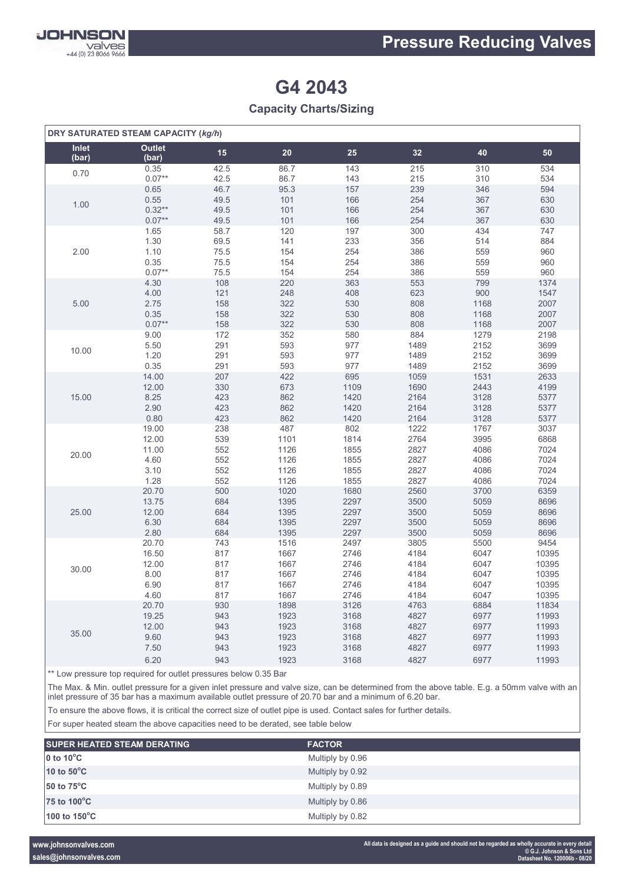

# **G4 2043**

### **Capacity Charts/Sizing**

| DRY SATURATED STEAM CAPACITY (kg/h) |                        |      |      |      |      |      |       |
|-------------------------------------|------------------------|------|------|------|------|------|-------|
| Inlet<br>(bar)                      | <b>Outlet</b><br>(bar) | 15   | 20   | 25   | 32   | 40   | 50    |
| 0.70                                | 0.35                   | 42.5 | 86.7 | 143  | 215  | 310  | 534   |
|                                     | $0.07**$               | 42.5 | 86.7 | 143  | 215  | 310  | 534   |
| 1.00                                | 0.65                   | 46.7 | 95.3 | 157  | 239  | 346  | 594   |
|                                     | 0.55                   | 49.5 | 101  | 166  | 254  | 367  | 630   |
|                                     | $0.32**$               | 49.5 | 101  | 166  | 254  | 367  | 630   |
|                                     | $0.07**$               | 49.5 | 101  | 166  | 254  | 367  | 630   |
| 2.00                                | 1.65                   | 58.7 | 120  | 197  | 300  | 434  | 747   |
|                                     | 1.30                   | 69.5 | 141  | 233  | 356  | 514  | 884   |
|                                     | 1.10                   | 75.5 | 154  | 254  | 386  | 559  | 960   |
|                                     | 0.35                   | 75.5 | 154  | 254  | 386  | 559  | 960   |
|                                     | $0.07**$               | 75.5 | 154  | 254  | 386  | 559  | 960   |
| 5.00                                | 4.30                   | 108  | 220  | 363  | 553  | 799  | 1374  |
|                                     | 4.00                   | 121  | 248  | 408  | 623  | 900  | 1547  |
|                                     | 2.75                   | 158  | 322  | 530  | 808  | 1168 | 2007  |
|                                     | 0.35                   | 158  | 322  | 530  | 808  | 1168 | 2007  |
|                                     | $0.07**$               | 158  | 322  | 530  | 808  | 1168 | 2007  |
| 10.00                               | 9.00                   | 172  | 352  | 580  | 884  | 1279 | 2198  |
|                                     | 5.50                   | 291  | 593  | 977  | 1489 | 2152 | 3699  |
|                                     | 1.20                   | 291  | 593  | 977  | 1489 | 2152 | 3699  |
|                                     | 0.35                   | 291  | 593  | 977  | 1489 | 2152 | 3699  |
| 15.00                               | 14.00                  | 207  | 422  | 695  | 1059 | 1531 | 2633  |
|                                     | 12.00                  | 330  | 673  | 1109 | 1690 | 2443 | 4199  |
|                                     | 8.25                   | 423  | 862  | 1420 | 2164 | 3128 | 5377  |
|                                     | 2.90                   | 423  | 862  | 1420 | 2164 | 3128 | 5377  |
|                                     | 0.80                   | 423  | 862  | 1420 | 2164 | 3128 | 5377  |
| 20.00                               | 19.00                  | 238  | 487  | 802  | 1222 | 1767 | 3037  |
|                                     | 12.00                  | 539  | 1101 | 1814 | 2764 | 3995 | 6868  |
|                                     | 11.00                  | 552  | 1126 | 1855 | 2827 | 4086 | 7024  |
|                                     | 4.60                   | 552  | 1126 | 1855 | 2827 | 4086 | 7024  |
|                                     | 3.10                   | 552  | 1126 | 1855 | 2827 | 4086 | 7024  |
|                                     | 1.28                   | 552  | 1126 | 1855 | 2827 | 4086 | 7024  |
| 25.00                               | 20.70                  | 500  | 1020 | 1680 | 2560 | 3700 | 6359  |
|                                     | 13.75                  | 684  | 1395 | 2297 | 3500 | 5059 | 8696  |
|                                     | 12.00                  | 684  | 1395 | 2297 | 3500 | 5059 | 8696  |
|                                     | 6.30                   | 684  | 1395 | 2297 | 3500 | 5059 | 8696  |
|                                     | 2.80                   | 684  | 1395 | 2297 | 3500 | 5059 | 8696  |
| 30.00                               | 20.70                  | 743  | 1516 | 2497 | 3805 | 5500 | 9454  |
|                                     | 16.50                  | 817  | 1667 | 2746 | 4184 | 6047 | 10395 |
|                                     | 12.00                  | 817  | 1667 | 2746 | 4184 | 6047 | 10395 |
|                                     | 8.00                   | 817  | 1667 | 2746 | 4184 | 6047 | 10395 |
|                                     | 6.90                   | 817  | 1667 | 2746 | 4184 | 6047 | 10395 |
|                                     | 4.60                   | 817  | 1667 | 2746 | 4184 | 6047 | 10395 |
| 35.00                               | 20.70                  | 930  | 1898 | 3126 | 4763 | 6884 | 11834 |
|                                     | 19.25                  | 943  | 1923 | 3168 | 4827 | 6977 | 11993 |
|                                     | 12.00                  | 943  | 1923 | 3168 | 4827 | 6977 | 11993 |
|                                     | 9.60                   | 943  | 1923 | 3168 | 4827 | 6977 | 11993 |
|                                     | 7.50                   | 943  | 1923 | 3168 | 4827 | 6977 | 11993 |
|                                     | 6.20                   | 943  | 1923 | 3168 | 4827 | 6977 | 11993 |

\*\* Low pressure top required for outlet pressures below 0.35 Bar

The Max. & Min. outlet pressure for a given inlet pressure and valve size, can be determined from the above table. E.g. a 50mm valve with an inlet pressure of 35 bar has a maximum available outlet pressure of 20.70 bar and a minimum of 6.20 bar.

To ensure the above flows, it is critical the correct size of outlet pipe is used. Contact sales for further details.

For super heated steam the above capacities need to be derated, see table below

| <b>SUPER HEATED STEAM DERATING</b> | <b>FACTOR</b>    |
|------------------------------------|------------------|
| 0 to $10^{\circ}$ C                | Multiply by 0.96 |
| 10 to $50^{\circ}$ C               | Multiply by 0.92 |
| $50$ to $75^{\circ}$ C             | Multiply by 0.89 |
| 75 to 100°C                        | Multiply by 0.86 |
| 100 to $150^{\circ}$ C             | Multiply by 0.82 |